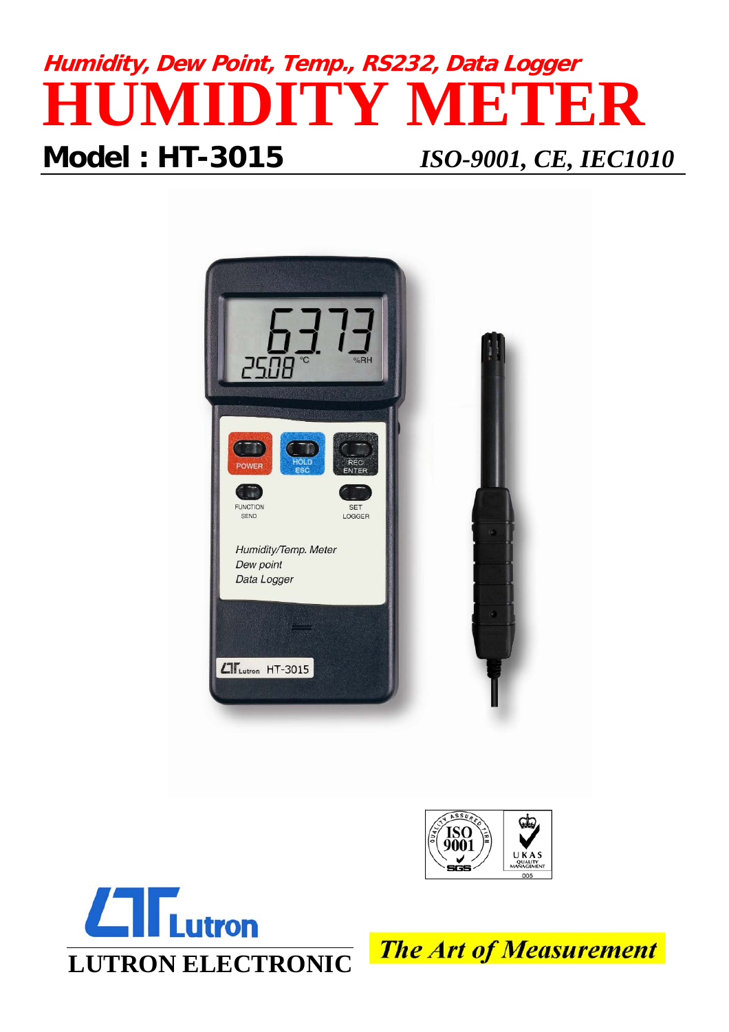# **Humidity, Dew Point, Temp., RS232, Data Logger HUMIDITY METER Model : HT-3015** *ISO-9001, CE, IEC1010*







**The Art of Measurement**